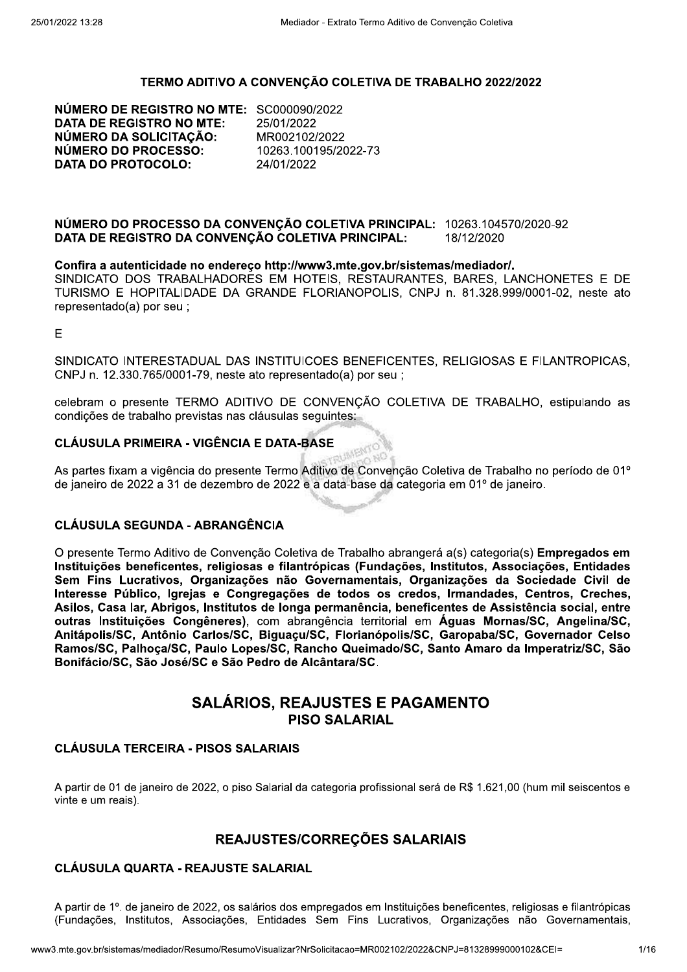#### TERMO ADITIVO A CONVENÇÃO COLETIVA DE TRABALHO 2022/2022

NÚMERO DE REGISTRO NO MTE: SC000090/2022 **DATA DE REGISTRO NO MTE: NÚMERO DA SOLICITACÃO: NÚMERO DO PROCESSO: DATA DO PROTOCOLO:** 

25/01/2022 MR002102/2022 10263.100195/2022-73 24/01/2022

#### NÚMERO DO PROCESSO DA CONVENCÃO COLETIVA PRINCIPAL: 10263.104570/2020-92 DATA DE REGISTRO DA CONVENÇÃO COLETIVA PRINCIPAL: 18/12/2020

#### Confira a autenticidade no endereco http://www3.mte.gov.br/sistemas/mediador/.

SINDICATO DOS TRABALHADORES EM HOTEIS, RESTAURANTES, BARES, LANCHONETES E DE TURISMO E HOPITALIDADE DA GRANDE FLORIANOPOLIS, CNPJ n. 81.328.999/0001-02, neste ato representado(a) por seu ;

E

SINDICATO INTERESTADUAL DAS INSTITUICOES BENEFICENTES. RELIGIOSAS E FILANTROPICAS. CNPJ n. 12.330.765/0001-79, neste ato representado(a) por seu ;

celebram o presente TERMO ADITIVO DE CONVENCÃO COLETIVA DE TRABALHO, estipulando as condições de trabalho previstas nas cláusulas seguintes:

### **CLÁUSULA PRIMEIRA - VIGÊNCIA E DATA-BASE**

As partes fixam a vigência do presente Termo Aditivo de Convenção Coletiva de Trabalho no período de 01º de janeiro de 2022 a 31 de dezembro de 2022 e a data-base da categoria em 01º de janeiro.

#### **CLÁUSULA SEGUNDA - ABRANGÊNCIA**

O presente Termo Aditivo de Convenção Coletiva de Trabalho abrangerá a(s) categoria(s) Empregados em Instituições beneficentes, religiosas e filantrópicas (Fundações, Institutos, Associações, Entidades Sem Fins Lucrativos. Organizações não Governamentais. Organizações da Sociedade Civil de Interesse Público, Igrejas e Congregações de todos os credos, Irmandades, Centros, Creches, Asilos, Casa lar, Abrigos, Institutos de longa permanência, beneficentes de Assistência social, entre outras Instituições Congêneres), com abrangência territorial em Águas Mornas/SC, Angelina/SC, Anitápolis/SC, Antônio Carlos/SC, Biguaçu/SC, Florianópolis/SC, Garopaba/SC, Governador Celso Ramos/SC, Palhoça/SC, Paulo Lopes/SC, Rancho Queimado/SC, Santo Amaro da Imperatriz/SC, São Bonifácio/SC, São José/SC e São Pedro de Alcântara/SC.

# **SALÁRIOS, REAJUSTES E PAGAMENTO PISO SALARIAL**

### **CLÁUSULA TERCEIRA - PISOS SALARIAIS**

A partir de 01 de janeiro de 2022, o piso Salarial da categoria profissional será de R\$ 1.621,00 (hum mil seiscentos e vinte e um reais).

### REAJUSTES/CORREÇÕES SALARIAIS

### **CLÁUSULA QUARTA - REAJUSTE SALARIAL**

A partir de 1º, de janeiro de 2022, os salários dos empregados em Instituições beneficentes, religiosas e filantrópicas (Fundações, Institutos, Associações, Entidades Sem Fins Lucrativos, Organizações não Governamentais,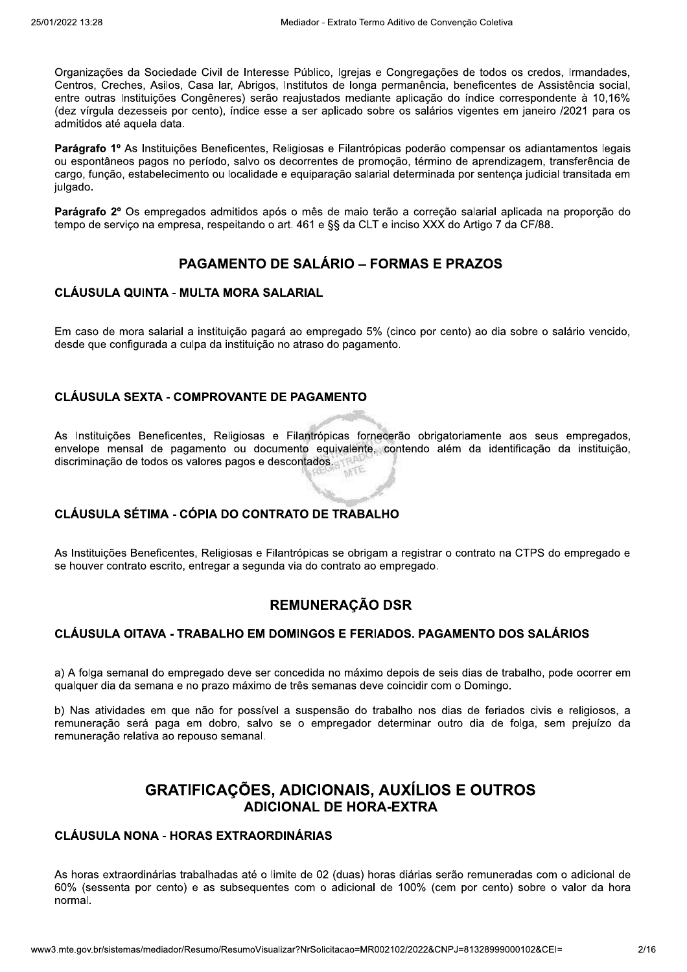Organizações da Sociedade Civil de Interesse Público, Igrejas e Congregações de todos os credos, Irmandades, Centros, Creches, Asilos, Casa lar, Abrigos, Institutos de longa permanência, beneficentes de Assistência social. entre outras Instituições Congêneres) serão reaiustados mediante aplicação do índice correspondente à 10.16% (dez vírgula dezesseis por cento), índice esse a ser aplicado sobre os salários vigentes em janeiro /2021 para os admitidos até aquela data.

Parágrafo 1º As Instituições Beneficentes, Religiosas e Filantrópicas poderão compensar os adiantamentos legais ou espontâneos pagos no período, salvo os decorrentes de promoção, término de aprendizagem, transferência de cargo, função, estabelecimento ou localidade e equiparação salarial determinada por sentença judicial transitada em julgado.

Parágrafo 2º Os empregados admitidos após o mês de maio terão a correção salarial aplicada na proporção do tempo de serviço na empresa, respeitando o art. 461 e §§ da CLT e inciso XXX do Artigo 7 da CF/88.

## **PAGAMENTO DE SALÁRIO – FORMAS E PRAZOS**

#### **CLÁUSULA QUINTA - MULTA MORA SALARIAL**

Em caso de mora salarial a instituição pagará ao empregado 5% (cinco por cento) ao dia sobre o salário vencido, desde que configurada a culpa da instituição no atraso do pagamento.

### **CLÁUSULA SEXTA - COMPROVANTE DE PAGAMENTO**

As Instituições Beneficentes, Religiosas e Filantrópicas fornecerão obrigatoriamente aos seus empregados, envelope mensal de pagamento ou documento equivalente, contendo além da identificação da instituição, discriminação de todos os valores pagos e descontados.

### CLÁUSULA SÉTIMA - CÓPIA DO CONTRATO DE TRABALHO

As Instituições Beneficentes, Religiosas e Filantrópicas se obrigam a registrar o contrato na CTPS do empregado e se houver contrato escrito, entregar a segunda via do contrato ao empregado.

## **REMUNERAÇÃO DSR**

### CLÁUSULA OITAVA - TRABALHO EM DOMINGOS E FERIADOS. PAGAMENTO DOS SALÁRIOS

a) A folga semanal do empregado deve ser concedida no máximo depois de seis dias de trabalho, pode ocorrer em qualquer dia da semana e no prazo máximo de três semanas deve coincidir com o Domingo.

b) Nas atividades em que não for possível a suspensão do trabalho nos dias de feriados civis e religiosos, a remuneração será paga em dobro, salvo se o empregador determinar outro dia de folga, sem prejuízo da remuneração relativa ao repouso semanal.

# **GRATIFICAÇÕES, ADICIONAIS, AUXÍLIOS E OUTROS ADICIONAL DE HORA-EXTRA**

## CLÁUSULA NONA - HORAS EXTRAORDINÁRIAS

As horas extraordinárias trabalhadas até o limite de 02 (duas) horas diárias serão remuneradas com o adicional de 60% (sessenta por cento) e as subsequentes com o adicional de 100% (cem por cento) sobre o valor da hora normal.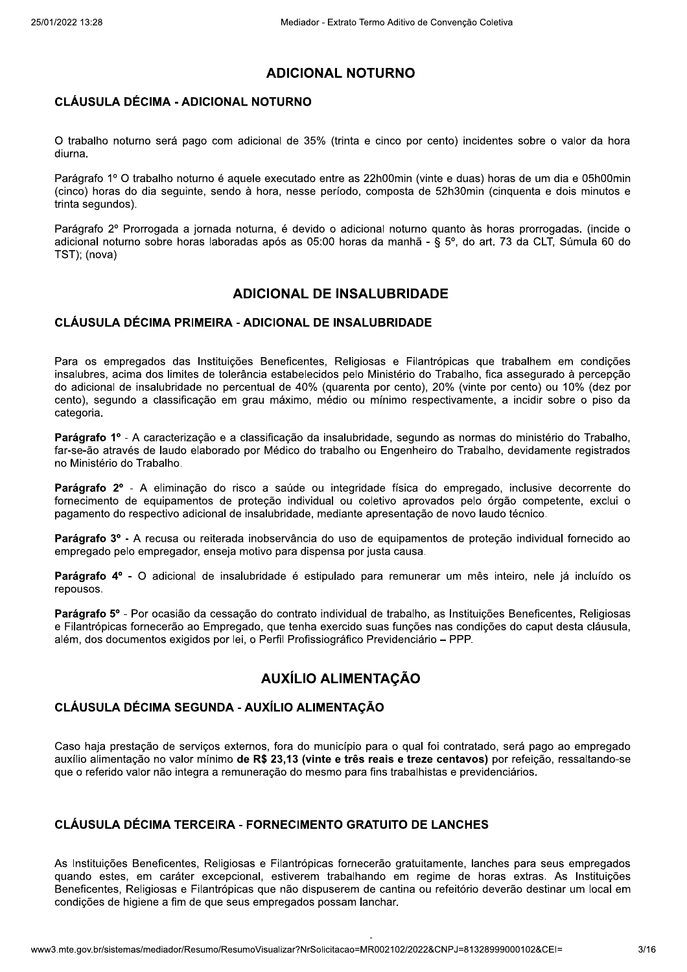## **ADICIONAL NOTURNO**

### **CLÁUSULA DÉCIMA - ADICIONAL NOTURNO**

O trabalho noturno será pago com adicional de 35% (trinta e cinco por cento) incidentes sobre o valor da hora diurna.

Parágrafo 1º O trabalho noturno é aguele executado entre as 22h00min (vinte e duas) horas de um dia e 05h00min (cinco) horas do dia seguinte, sendo à hora, nesse período, composta de 52h30min (cinguenta e dois minutos e trinta sequndos).

Parágrafo 2º Prorrogada a jornada noturna, é devido o adicional noturno quanto às horas prorrogadas. (incide o adicional noturno sobre horas laboradas após as 05:00 horas da manhã - § 5º, do art. 73 da CLT, Súmula 60 do TST); (nova)

## **ADICIONAL DE INSALUBRIDADE**

### **CLÁUSULA DÉCIMA PRIMEIRA - ADICIONAL DE INSALUBRIDADE**

Para os empregados das Instituições Beneficentes, Religiosas e Filantrópicas que trabalhem em condições insalubres, acima dos limites de tolerância estabelecidos pelo Ministério do Trabalho, fica assegurado à percepção do adicional de insalubridade no percentual de 40% (quarenta por cento), 20% (vinte por cento) ou 10% (dez por cento), segundo a classificação em grau máximo, médio ou mínimo respectivamente, a incidir sobre o piso da categoria.

Parágrafo 1º - A caracterização e a classificação da insalubridade, segundo as normas do ministério do Trabalho. far-se-ão através de laudo elaborado por Médico do trabalho ou Engenheiro do Trabalho, devidamente registrados no Ministério do Trabalho.

Parágrafo 2º - A eliminação do risco a saúde ou integridade física do empregado, inclusive decorrente do fornecimento de equipamentos de proteção individual ou coletivo aprovados pelo órgão competente, exclui o pagamento do respectivo adicional de insalubridade, mediante apresentação de novo laudo técnico.

Parágrafo 3º - A recusa ou reiterada inobservância do uso de equipamentos de proteção individual fornecido ao empregado pelo empregador, enseja motivo para dispensa por justa causa.

Parágrafo 4º - O adicional de insalubridade é estipulado para remunerar um mês inteiro, nele já incluído os repousos.

Parágrafo 5º - Por ocasião da cessação do contrato individual de trabalho, as Instituições Beneficentes, Religiosas e Filantrópicas fornecerão ao Empregado, que tenha exercido suas funções nas condições do caput desta cláusula, além, dos documentos exigidos por lei, o Perfil Profissiográfico Previdenciário – PPP.

# **AUXÍLIO ALIMENTACÃO**

### CLÁUSULA DÉCIMA SEGUNDA - AUXÍLIO ALIMENTAÇÃO

Caso haja prestação de serviços externos, fora do município para o qual foi contratado, será pago ao empregado auxílio alimentação no valor mínimo de R\$ 23,13 (vinte e três reais e treze centavos) por refeição, ressaltando-se que o referido valor não integra a remuneração do mesmo para fins trabalhistas e previdenciários.

### **CLÁUSULA DÉCIMA TERCEIRA - FORNECIMENTO GRATUITO DE LANCHES**

As Instituições Beneficentes, Religiosas e Filantrópicas fornecerão gratuitamente, lanches para seus empregados quando estes, em caráter excepcional, estiverem trabalhando em regime de horas extras. As Instituições Beneficentes, Religiosas e Filantrópicas que não dispuserem de cantina ou refeitório deverão destinar um local em condições de higiene a fim de que seus empregados possam lanchar.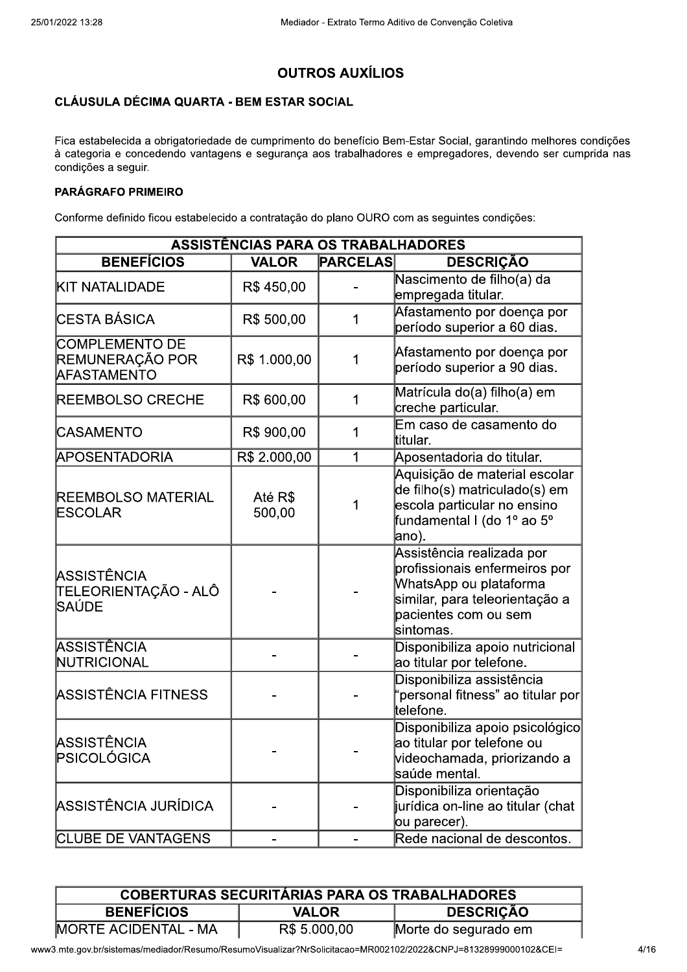# **OUTROS AUXÍLIOS**

## **CLÁUSULA DÉCIMA QUARTA - BEM ESTAR SOCIAL**

Fica estabelecida a obrigatoriedade de cumprimento do benefício Bem-Estar Social, garantindo melhores condições à categoria e concedendo vantagens e segurança aos trabalhadores e empregadores, devendo ser cumprida nas condições a seguir.

### **PARÁGRAFO PRIMEIRO**

Conforme definido ficou estabelecido a contratação do plano OURO com as seguintes condições:

| <b>ASSISTÊNCIAS PARA OS TRABALHADORES</b>               |                   |                 |                                                                                                                                                             |
|---------------------------------------------------------|-------------------|-----------------|-------------------------------------------------------------------------------------------------------------------------------------------------------------|
| <b>BENEFÍCIOS</b>                                       | <b>VALOR</b>      | <b>PARCELAS</b> | <b>DESCRIÇÃO</b>                                                                                                                                            |
| <b>KIT NATALIDADE</b>                                   | R\$450,00         |                 | Nascimento de filho(a) da<br>empregada titular.                                                                                                             |
| <b>ICESTA BÁSICA</b>                                    | R\$ 500,00        | 1               | Afastamento por doença por<br>período superior a 60 dias.                                                                                                   |
| COMPLEMENTO DE<br>REMUNERAÇÃO POR<br><b>AFASTAMENTO</b> | R\$ 1.000,00      | 1               | Afastamento por doença por<br>período superior a 90 dias.                                                                                                   |
| <b>REEMBOLSO CRECHE</b>                                 | R\$ 600,00        | 1               | Matrícula do(a) filho(a) em<br>creche particular.                                                                                                           |
| <b>CASAMENTO</b>                                        | R\$ 900,00        | 1               | Em caso de casamento do<br>ltitular.                                                                                                                        |
| <b>APOSENTADORIA</b>                                    | R\$ 2.000,00      | 1               | Aposentadoria do titular.                                                                                                                                   |
| <b>REEMBOLSO MATERIAL</b><br>ESCOLAR                    | Até R\$<br>500,00 | 1               | Aquisição de material escolar<br>de filho(s) matriculado(s) em<br>escola particular no ensino<br>fundamental I (do 1º ao 5º<br>ano).                        |
| ASSISTÊNCIA<br>TELEORIENTAÇÃO - ALÔ<br>lSAÚDE           |                   |                 | Assistência realizada por<br>profissionais enfermeiros por<br>WhatsApp ou plataforma<br>similar, para teleorientação a<br>pacientes com ou sem<br>sintomas. |
| ASSISTÊNCIA<br>NUTRICIONAL                              |                   |                 | Disponibiliza apoio nutricional<br>ao titular por telefone.                                                                                                 |
| ASSISTÊNCIA FITNESS                                     |                   |                 | Disponibiliza assistência<br>"personal fitness" ao titular por<br>telefone.                                                                                 |
| ASSISTÊNCIA<br>PSICOLÓGICA                              |                   |                 | Disponibiliza apoio psicológico<br>ao titular por telefone ou<br>videochamada, priorizando a<br>saúde mental.                                               |
| ASSISTÊNCIA JURÍDICA                                    |                   |                 | Disponibiliza orientação<br>jurídica on-line ao titular (chat<br>ou parecer).                                                                               |
| <b>CLUBE DE VANTAGENS</b>                               |                   |                 | Rede nacional de descontos.                                                                                                                                 |

| <b>COBERTURAS SECURITÁRIAS PARA OS TRABALHADORES</b> |              |                      |
|------------------------------------------------------|--------------|----------------------|
| <b>BENEFÍCIOS</b>                                    | <b>VALOR</b> | <b>DESCRIÇÃO</b>     |
| <b>IMORTE ACIDENTAL - MA</b>                         | R\$ 5.000,00 | Morte do segurado em |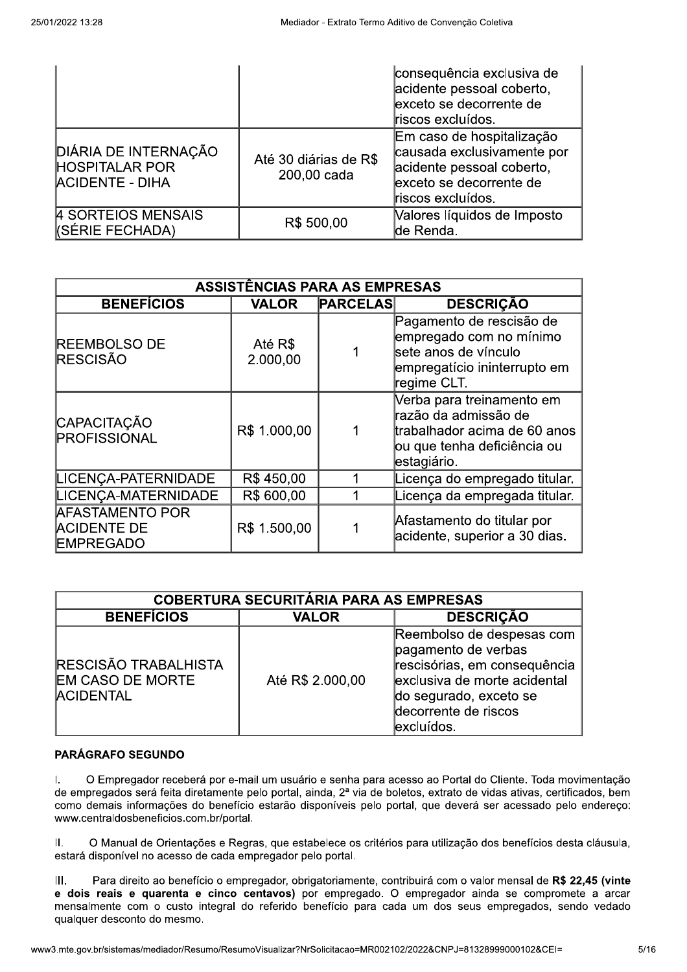|                                                                         |                                      | consequência exclusiva de<br>acidente pessoal coberto,<br>exceto se decorrente de<br>riscos excluídos.                               |
|-------------------------------------------------------------------------|--------------------------------------|--------------------------------------------------------------------------------------------------------------------------------------|
| DIÁRIA DE INTERNAÇÃO<br><b>HOSPITALAR POR</b><br><b>ACIDENTE - DIHA</b> | Até 30 diárias de R\$<br>200,00 cada | Em caso de hospitalização<br>causada exclusivamente por<br>acidente pessoal coberto,<br>exceto se decorrente de<br>riscos excluídos. |
| 4 SORTEIOS MENSAIS<br>(SÉRIE FECHADA)                                   | R\$ 500,00                           | Valores líquidos de Imposto<br>de Renda.                                                                                             |

| <b>ASSISTÊNCIAS PARA AS EMPRESAS</b>                             |                     |                 |                                                                                                                                 |
|------------------------------------------------------------------|---------------------|-----------------|---------------------------------------------------------------------------------------------------------------------------------|
| <b>BENEFÍCIOS</b>                                                | <b>VALOR</b>        | <b>PARCELAS</b> | <b>DESCRIÇÃO</b>                                                                                                                |
| <b>REEMBOLSO DE</b><br><b>RESCISÃO</b>                           | Até R\$<br>2.000,00 |                 | Pagamento de rescisão de<br>empregado com no mínimo<br>sete anos de vínculo<br>empregatício ininterrupto em<br>regime CLT.      |
| CAPACITAÇÃO<br>PROFISSIONAL                                      | R\$ 1.000,00        |                 | Verba para treinamento em<br>razão da admissão de<br>trabalhador acima de 60 anos<br>ou que tenha deficiência ou<br>estagiário. |
| LICENÇA-PATERNIDADE                                              | R\$450,00           |                 | Licença do empregado titular.                                                                                                   |
| LICENÇA-MATERNIDADE                                              | R\$ 600,00          |                 | Licença da empregada titular.                                                                                                   |
| <b>AFASTAMENTO POR</b><br><b>ACIDENTE DE</b><br><b>EMPREGADO</b> | R\$ 1.500,00        |                 | Afastamento do titular por<br>acidente, superior a 30 dias.                                                                     |

| <b>COBERTURA SECURITÁRIA PARA AS EMPRESAS</b>                       |                  |                                                                                                                                                                                  |
|---------------------------------------------------------------------|------------------|----------------------------------------------------------------------------------------------------------------------------------------------------------------------------------|
| <b>BENEFÍCIOS</b>                                                   | <b>VALOR</b>     | <b>DESCRIÇÃO</b>                                                                                                                                                                 |
| RESCISÃO TRABALHISTA<br><b>EM CASO DE MORTE</b><br><b>ACIDENTAL</b> | Até R\$ 2.000,00 | Reembolso de despesas com<br>pagamento de verbas<br>rescisórias, em consequência<br>exclusiva de morte acidental<br>do segurado, exceto se<br>decorrente de riscos<br>excluídos. |

### **PARÁGRAFO SEGUNDO**

 $\mathbf{L}$ O Empregador receberá por e-mail um usuário e senha para acesso ao Portal do Cliente. Toda movimentação de empregados será feita diretamente pelo portal, ainda, 2ª via de boletos, extrato de vidas ativas, certificados, bem como demais informações do benefício estarão disponíveis pelo portal, que deverá ser acessado pelo endereço: www.centraldosbeneficios.com.br/portal.

O Manual de Orientações e Regras, que estabelece os critérios para utilização dos benefícios desta cláusula,  $II.$ estará disponível no acesso de cada empregador pelo portal.

Ш. Para direito ao benefício o empregador, obrigatoriamente, contribuirá com o valor mensal de R\$ 22,45 (vinte e dois reais e quarenta e cinco centavos) por empregado. O empregador ainda se compromete a arcar mensalmente com o custo integral do referido benefício para cada um dos seus empregados, sendo vedado qualquer desconto do mesmo.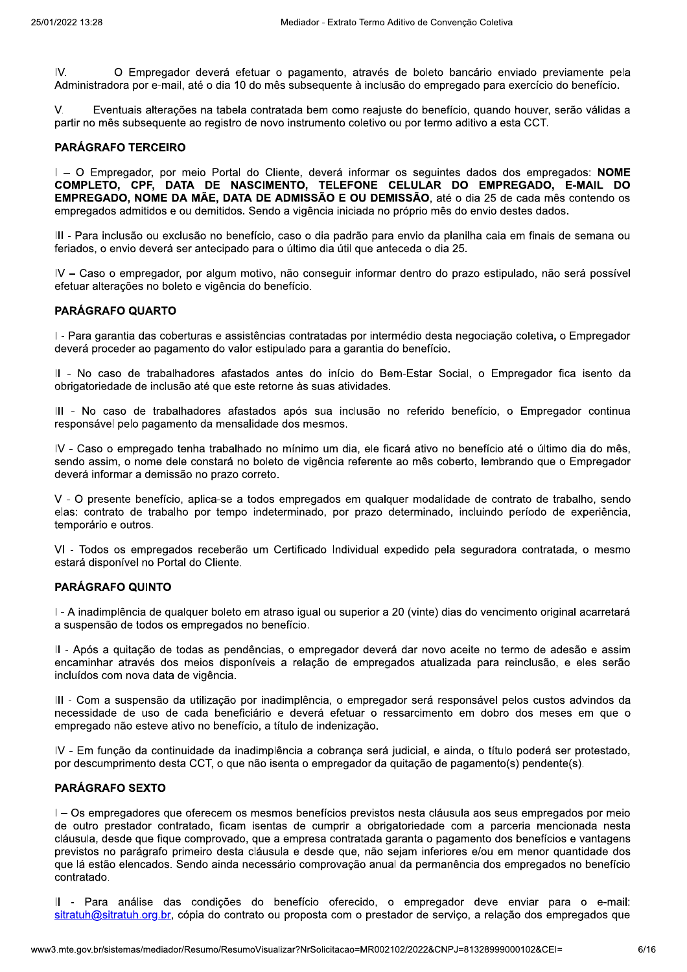IV. O Empregador deverá efetuar o pagamento, através de boleto bancário enviado previamente pela Administradora por e-mail, até o dia 10 do mês subsequente à inclusão do empregado para exercício do benefício,

V. Eventuais alterações na tabela contratada bem como reajuste do benefício, quando houver, serão válidas a partir no mês subsequente ao registro de novo instrumento coletivo ou por termo aditivo a esta CCT.

#### **PARÁGRAFO TERCEIRO**

I - O Empregador, por meio Portal do Cliente, deverá informar os seguintes dados dos empregados; NOME COMPLETO, CPF, DATA DE NASCIMENTO, TELEFONE CELULAR DO EMPREGADO, E-MAIL DO **EMPREGADO. NOME DA MÃE. DATA DE ADMISSÃO E OU DEMISSÃO.** até o dia 25 de cada mês contendo os empregados admitidos e ou demitidos. Sendo a vigência iniciada no próprio mês do envio destes dados.

III - Para inclusão ou exclusão no benefício, caso o dia padrão para envio da planilha caia em finais de semana ou feriados, o envio deverá ser antecipado para o último dia útil que anteceda o dia 25.

IV - Caso o empregador, por algum motivo, não conseguir informar dentro do prazo estipulado, não será possível efetuar alterações no boleto e vigência do benefício.

#### PARÁGRAFO QUARTO

I - Para garantia das coberturas e assistências contratadas por intermédio desta negociação coletiva, o Empregador deverá proceder ao pagamento do valor estipulado para a garantia do benefício.

Il - No caso de trabalhadores afastados antes do início do Bem-Estar Social, o Empregador fica isento da obrigatoriedade de inclusão até que este retorne às suas atividades.

III - No caso de trabalhadores afastados após sua inclusão no referido benefício, o Empregador continua responsável pelo pagamento da mensalidade dos mesmos.

IV - Caso o empregado tenha trabalhado no mínimo um dia, ele ficará ativo no benefício até o último dia do mês, sendo assim, o nome dele constará no boleto de vigência referente ao mês coberto, lembrando que o Empregador deverá informar a demissão no prazo correto.

V - O presente benefício, aplica-se a todos empregados em qualquer modalidade de contrato de trabalho, sendo elas: contrato de trabalho por tempo indeterminado, por prazo determinado, incluindo período de experiência, temporário e outros.

VI - Todos os empregados receberão um Certificado Individual expedido pela seguradora contratada, o mesmo estará disponível no Portal do Cliente.

#### **PARÁGRAFO QUINTO**

I - A inadimplência de qualquer boleto em atraso igual ou superior a 20 (vinte) dias do vencimento original acarretará a suspensão de todos os empregados no benefício.

II - Após a quitação de todas as pendências, o empregador deverá dar novo aceite no termo de adesão e assim encaminhar através dos meios disponíveis a relação de empregados atualizada para reinclusão, e eles serão incluídos com nova data de vigência.

III - Com a suspensão da utilização por inadimplência, o empregador será responsável pelos custos advindos da necessidade de uso de cada beneficiário e deverá efetuar o ressarcimento em dobro dos meses em que o empregado não esteve ativo no benefício, a título de indenização.

IV - Em função da continuidade da inadimplência a cobrança será judicial, e ainda, o título poderá ser protestado, por descumprimento desta CCT, o que não isenta o empregador da quitação de pagamento(s) pendente(s).

#### **PARÁGRAFO SEXTO**

I - Os empregadores que oferecem os mesmos benefícios previstos nesta cláusula aos seus empregados por meio de outro prestador contratado, ficam isentas de cumprir a obrigatoriedade com a parceria mencionada nesta cláusula, desde que fique comprovado, que a empresa contratada garanta o pagamento dos benefícios e vantagens previstos no parágrafo primeiro desta cláusula e desde que, não sejam inferiores e/ou em menor quantidade dos que lá estão elencados. Sendo ainda necessário comprovação anual da permanência dos empregados no benefício contratado.

Il - Para análise das condições do benefício oferecido, o empregador deve enviar para o e-mail: sitratuh@sitratuh.org.br, cópia do contrato ou proposta com o prestador de serviço, a relação dos empregados que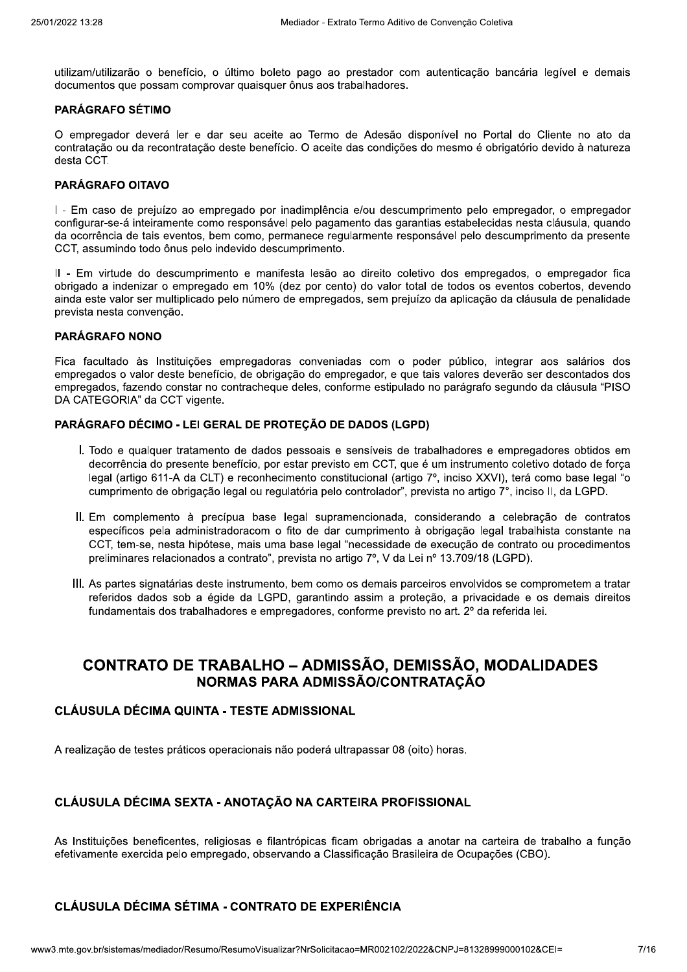utilizam/utilizarão o benefício, o último boleto pago ao prestador com autenticação bancária legível e demais documentos que possam comprovar quaisquer ônus aos trabalhadores.

#### **PARÁGRAFO SÉTIMO**

O empregador deverá ler e dar seu aceite ao Termo de Adesão disponível no Portal do Cliente no ato da contratação ou da recontratação deste benefício. O aceite das condições do mesmo é obrigatório devido à natureza desta CCT.

#### **PARÁGRAFO OITAVO**

I - Em caso de prejuízo ao empregado por inadimplência e/ou descumprimento pelo empregador, o empregador configurar-se-á inteiramente como responsável pelo pagamento das garantias estabelecidas nesta cláusula, quando da ocorrência de tais eventos, bem como, permanece regularmente responsável pelo descumprimento da presente CCT, assumindo todo ônus pelo indevido descumprimento.

Il - Em virtude do descumprimento e manifesta lesão ao direito coletivo dos empregados, o empregador fica obrigado a indenizar o empregado em 10% (dez por cento) do valor total de todos os eventos cobertos, devendo ainda este valor ser multiplicado pelo número de empregados, sem prejuízo da aplicação da cláusula de penalidade prevista nesta convenção.

#### **PARÁGRAFO NONO**

Fica facultado às Instituições empregadoras conveniadas com o poder público, integrar aos salários dos empregados o valor deste benefício, de obrigação do empregador, e que tais valores deverão ser descontados dos empregados, fazendo constar no contracheque deles, conforme estipulado no parágrafo segundo da cláusula "PISO DA CATEGORIA" da CCT vigente.

### PARÁGRAFO DÉCIMO - LEI GERAL DE PROTEÇÃO DE DADOS (LGPD)

- I. Todo e qualquer tratamento de dados pessoais e sensíveis de trabalhadores e empregadores obtidos em decorrência do presente benefício, por estar previsto em CCT, que é um instrumento coletivo dotado de forca legal (artigo 611-A da CLT) e reconhecimento constitucional (artigo 7°, inciso XXVI), terá como base legal "o cumprimento de obrigação legal ou regulatória pelo controlador", prevista no artigo 7°, inciso II, da LGPD.
- II. Em complemento à precípua base legal supramencionada, considerando a celebração de contratos específicos pela administradoracom o fito de dar cumprimento à obrigação legal trabalhista constante na CCT, tem-se, nesta hipótese, mais uma base legal "necessidade de execução de contrato ou procedimentos preliminares relacionados a contrato", prevista no artigo 7º, V da Lei nº 13.709/18 (LGPD).
- III. As partes signatárias deste instrumento, bem como os demais parceiros envolvidos se comprometem a tratar referidos dados sob a égide da LGPD, garantindo assim a proteção, a privacidade e os demais direitos fundamentais dos trabalhadores e empregadores, conforme previsto no art. 2º da referida lei.

# **CONTRATO DE TRABALHO – ADMISSÃO, DEMISSÃO, MODALIDADES** NORMAS PARA ADMISSÃO/CONTRATACÃO

### **CLÁUSULA DÉCIMA QUINTA - TESTE ADMISSIONAL**

A realização de testes práticos operacionais não poderá ultrapassar 08 (oito) horas.

### CLÁUSULA DÉCIMA SEXTA - ANOTAÇÃO NA CARTEIRA PROFISSIONAL

As Instituições beneficentes, religiosas e filantrópicas ficam obrigadas a anotar na carteira de trabalho a função efetivamente exercida pelo empregado, observando a Classificação Brasileira de Ocupações (CBO).

## **CLÁUSULA DÉCIMA SÉTIMA - CONTRATO DE EXPERIÊNCIA**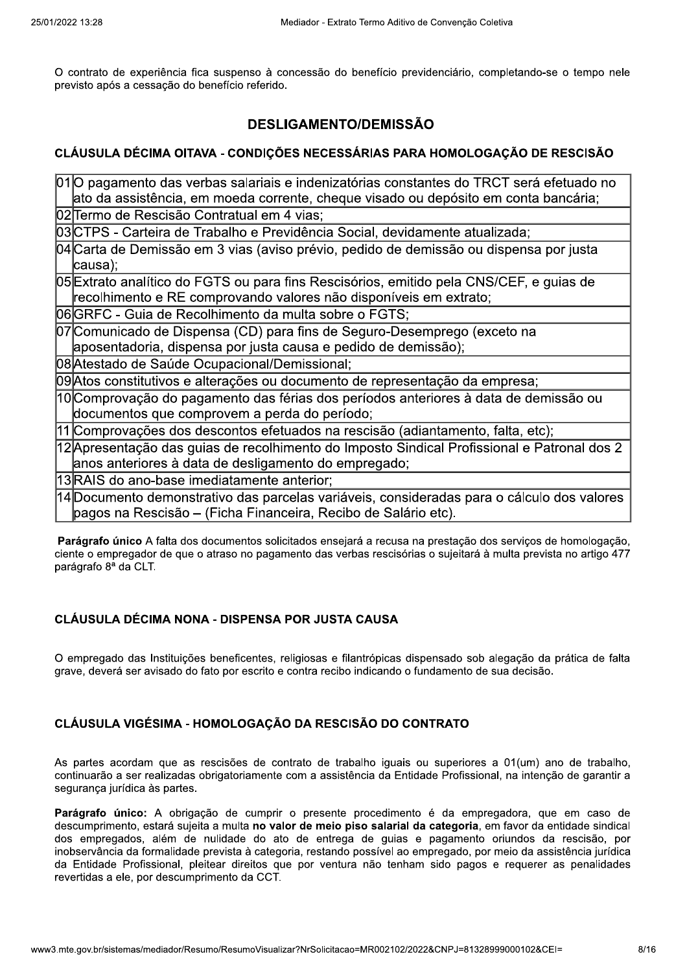O contrato de experiência fica suspenso à concessão do benefício previdenciário, completando-se o tempo nele previsto após a cessação do benefício referido.

## **DESLIGAMENTO/DEMISSÃO**

### CLÁUSULA DÉCIMA OITAVA - CONDIÇÕES NECESSÁRIAS PARA HOMOLOGAÇÃO DE RESCISÃO

| 010 pagamento das verbas salariais e indenizatórias constantes do TRCT será efetuado no     |
|---------------------------------------------------------------------------------------------|
| ato da assistência, em moeda corrente, cheque visado ou depósito em conta bancária;         |
| 02 Termo de Rescisão Contratual em 4 vias;                                                  |
| 03 CTPS - Carteira de Trabalho e Previdência Social, devidamente atualizada;                |
| 04 Carta de Demissão em 3 vias (aviso prévio, pedido de demissão ou dispensa por justa      |
| $ causa$ ;                                                                                  |
| 05 Extrato analítico do FGTS ou para fins Rescisórios, emitido pela CNS/CEF, e quias de     |
| recolhimento e RE comprovando valores não disponíveis em extrato;                           |
| 06 GRFC - Guia de Recolhimento da multa sobre o FGTS;                                       |
| 07 Comunicado de Dispensa (CD) para fins de Seguro-Desemprego (exceto na                    |
| aposentadoria, dispensa por justa causa e pedido de demissão);                              |
| 08 Atestado de Saúde Ocupacional/Demissional;                                               |
| 09 Atos constitutivos e alterações ou documento de representação da empresa;                |
| 10 Comprovação do pagamento das férias dos períodos anteriores à data de demissão ou        |
| documentos que comprovem a perda do período;                                                |
| 11 Comprovações dos descontos efetuados na rescisão (adiantamento, falta, etc);             |
| 12 Apresentação das guias de recolhimento do Imposto Sindical Profissional e Patronal dos 2 |
| anos anteriores à data de desligamento do empregado;                                        |
| 13 RAIS do ano-base imediatamente anterior;                                                 |
| 14 Documento demonstrativo das parcelas variáveis, consideradas para o cálculo dos valores  |
| pagos na Rescisão – (Ficha Financeira, Recibo de Salário etc).                              |

Parágrafo único A falta dos documentos solicitados ensejará a recusa na prestação dos servicos de homologação. ciente o empregador de que o atraso no pagamento das verbas rescisórias o sujeitará à multa prevista no artigo 477 parágrafo 8ª da CLT.

### **CLÁUSULA DÉCIMA NONA - DISPENSA POR JUSTA CAUSA**

O empregado das Instituições beneficentes, religiosas e filantrópicas dispensado sob alegação da prática de falta grave, deverá ser avisado do fato por escrito e contra recibo indicando o fundamento de sua decisão.

### CLÁUSULA VIGÉSIMA - HOMOLOGAÇÃO DA RESCISÃO DO CONTRATO

As partes acordam que as rescisões de contrato de trabalho iguais ou superiores a 01(um) ano de trabalho, continuarão a ser realizadas obrigatoriamente com a assistência da Entidade Profissional, na intenção de garantir a segurança jurídica às partes.

Parágrafo único: A obrigação de cumprir o presente procedimento é da empregadora, que em caso de descumprimento, estará sujeita a multa no valor de meio piso salarial da categoria, em favor da entidade sindical dos empregados, além de nulidade do ato de entrega de guias e pagamento oriundos da rescisão, por inobservância da formalidade prevista à categoria, restando possível ao empregado, por meio da assistência jurídica da Entidade Profissional, pleitear direitos que por ventura não tenham sido pagos e requerer as penalidades revertidas a ele, por descumprimento da CCT.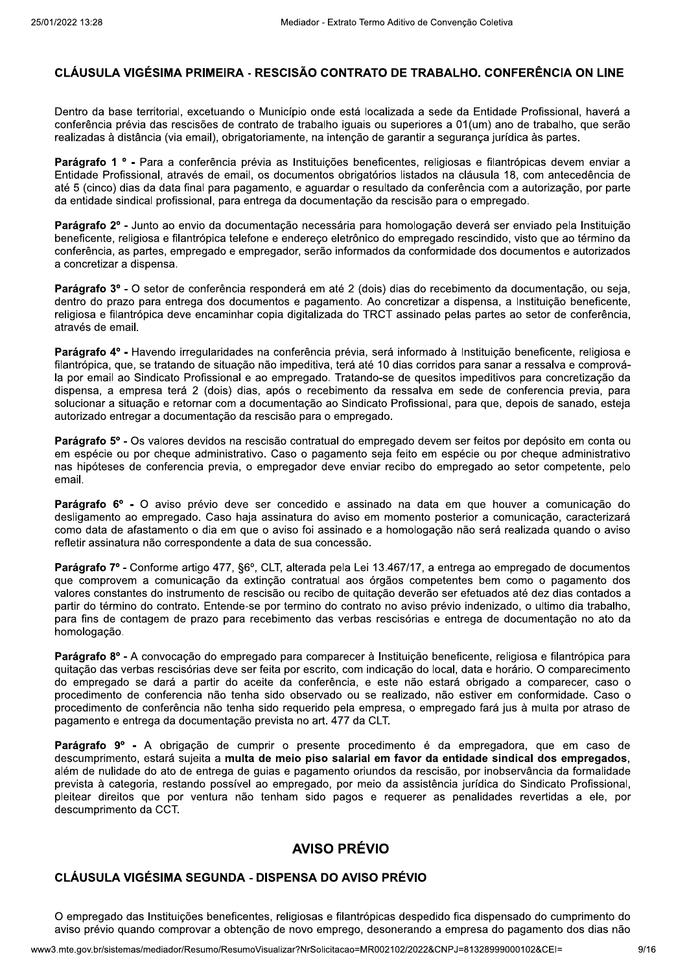### CLÁUSULA VIGÉSIMA PRIMEIRA - RESCISÃO CONTRATO DE TRABALHO, CONFERÊNCIA ON LINE

Dentro da base territorial, excetuando o Município onde está localizada a sede da Entidade Profissional, haverá a conferência prévia das rescisões de contrato de trabalho iguais ou superiores a 01(um) ano de trabalho, que serão realizadas à distância (via email), obrigatoriamente, na intenção de garantir a segurança jurídica às partes.

Parágrafo 1 º - Para a conferência prévia as Instituições beneficentes, religiosas e filantrópicas devem enviar a Entidade Profissional, através de email, os documentos obrigatórios listados na cláusula 18, com antecedência de até 5 (cinco) dias da data final para pagamento, e aguardar o resultado da conferência com a autorização, por parte da entidade sindical profissional, para entrega da documentação da rescisão para o empregado.

Parágrafo 2º - Junto ao envio da documentação necessária para homologação deverá ser enviado pela Instituição beneficente, religiosa e filantrópica telefone e endereço eletrônico do empregado rescindido, visto que ao término da conferência, as partes, empregado e empregador, serão informados da conformidade dos documentos e autorizados a concretizar a dispensa.

Parágrafo 3º - O setor de conferência responderá em até 2 (dois) dias do recebimento da documentação, ou seja. dentro do prazo para entrega dos documentos e pagamento. Ao concretizar a dispensa, a Instituição beneficente, religiosa e filantrópica deve encaminhar copia digitalizada do TRCT assinado pelas partes ao setor de conferência. através de email.

Parágrafo 4º - Havendo irregularidades na conferência prévia, será informado à Instituição beneficente, religiosa e filantrópica, que, se tratando de situação não impeditiva, terá até 10 dias corridos para sanar a ressalva e comprovála por email ao Sindicato Profissional e ao empregado. Tratando-se de quesitos impeditivos para concretização da dispensa, a empresa terá 2 (dois) dias, após o recebimento da ressalva em sede de conferencia previa, para solucionar a situação e retornar com a documentação ao Sindicato Profissional, para que, depois de sanado, esteja autorizado entregar a documentação da rescisão para o empregado.

Parágrafo 5° - Os valores devidos na rescisão contratual do empregado devem ser feitos por depósito em conta ou em espécie ou por cheque administrativo. Caso o pagamento seja feito em espécie ou por cheque administrativo nas hipóteses de conferencia previa, o empregador deve enviar recibo do empregado ao setor competente, pelo email.

Parágrafo 6º - O aviso prévio deve ser concedido e assinado na data em que houver a comunicação do desligamento ao empregado. Caso haja assinatura do aviso em momento posterior a comunicação, caracterizará como data de afastamento o dia em que o aviso foi assinado e a homologação não será realizada quando o aviso refletir assinatura não correspondente a data de sua concessão.

Parágrafo 7º - Conforme artigo 477, §6º, CLT, alterada pela Lei 13.467/17, a entrega ao empregado de documentos que comprovem a comunicação da extinção contratual aos órgãos competentes bem como o pagamento dos valores constantes do instrumento de rescisão ou recibo de quitação deverão ser efetuados até dez dias contados a partir do término do contrato. Entende-se por termino do contrato no aviso prévio indenizado, o ultimo dia trabalho, para fins de contagem de prazo para recebimento das verbas rescisórias e entrega de documentação no ato da homologação.

Parágrafo 8º - A convocação do empregado para comparecer à Instituição beneficente, religiosa e filantrópica para quitação das verbas rescisórias deve ser feita por escrito, com indicação do local, data e horário. O comparecimento do empregado se dará a partir do aceite da conferência, e este não estará obrigado a comparecer, caso o procedimento de conferencia não tenha sido observado ou se realizado, não estiver em conformidade. Caso o procedimento de conferência não tenha sido requerido pela empresa, o empregado fará jus à multa por atraso de pagamento e entrega da documentação prevista no art. 477 da CLT.

Parágrafo 9° - A obrigação de cumprir o presente procedimento é da empregadora, que em caso de descumprimento, estará sujeita a multa de meio piso salarial em favor da entidade sindical dos empregados. além de nulidade do ato de entrega de quias e pagamento oriundos da rescisão, por inobservância da formalidade prevista à categoria, restando possível ao empregado, por meio da assistência jurídica do Sindicato Profissional, pleitear direitos que por ventura não tenham sido pagos e requerer as penalidades revertidas a ele, por descumprimento da CCT.

### **AVISO PRÉVIO**

## CLÁUSULA VIGÉSIMA SEGUNDA - DISPENSA DO AVISO PRÉVIO

O empregado das Instituições beneficentes, religiosas e filantrópicas despedido fica dispensado do cumprimento do aviso prévio quando comprovar a obtenção de novo emprego, desonerando a empresa do pagamento dos dias não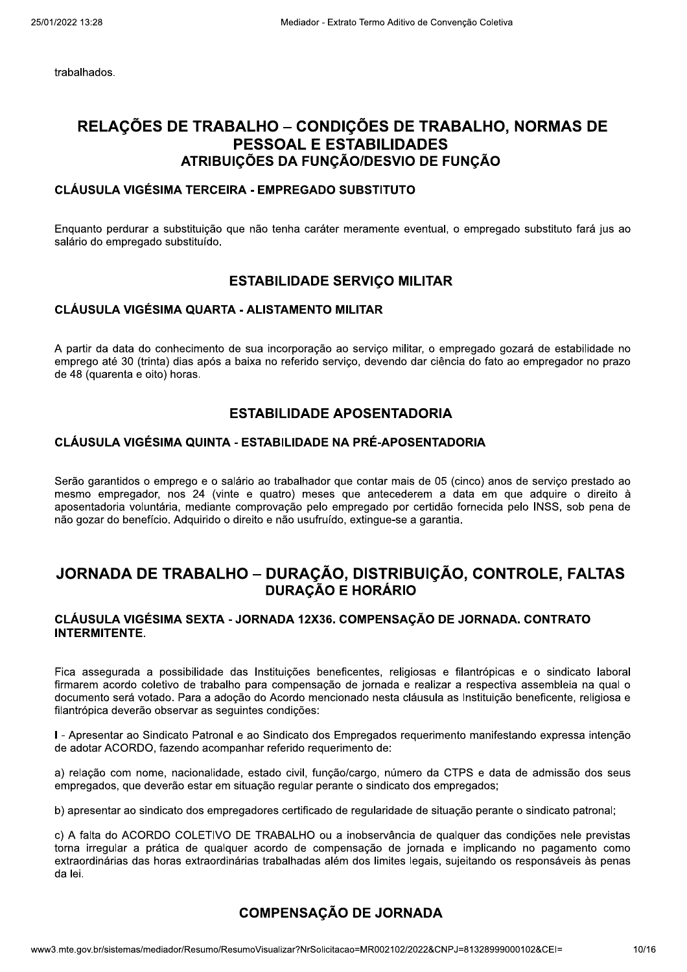trabalhados.

### $\overline{a}$ RELAÇUES DE TRABALHU – CONDIÇUES DE TRABALHU, NORMAS DE PESSOAL E ESTABILIDADES ATRIBUICÕES DA FUNCÃO/DESVIO DE FUNCÃO

#### $\overline{a}$ CLAUSULA VIGESIMA TERCEIRA - EMPREGADO SUBSTITUTO

Enquanto perdurar a substituição que não tenna carater meramente eventual, o empregado substituto fara jus ao salario do empregado substituido.

### **ESTABILIDADE SERVIÇO MILITAR**

#### $\overline{a}$ CLAUSULA VIGESIMA QUARTA - ALISTAMENTO MILITAR

A partir da data do connecimento de sua incorporação ao serviço militar, o empregado gozara de estabilidade no emprego até 30 (trinta) dias apos a baixa no referido serviço, devendo dar ciencia do fato ao empregador no prazo de 48 (quarenta e oito) noras.

### ESTABILIDADE APOSENTADORIA

#### $\overline{a}$ CLAUSULA VIGESIMA QUINTA - ESTABILIDADE NA PRE-APOSENTADORIA

Serao garantidos o emprego e o salario ao trabalhador que contar mais de 05 (cinco) anos de serviço prestado ao mesmo empregador, nos 24 (vinte e quatro) meses que antecederem a data em que adquire o direito a aposentadoria voluntaria, mediante comprovação pelo empregado por certidao fornecida pelo INSS, sob pena de **DRIA<br>
NTADORIA<br>
e 05 (cinco) anos de serviço prestado ao<br>
m a data em que adquire o direito à<br>
rtidão fornecida pelo INSS, sob pena de<br>
arantia.<br>
IÇÃO, CONTROLE, FALTAS<br>
O DE JORNADA CONTRATO** nao gozar do beneficio. Adquirido o direito e nao usufruido, extingue-se a garantia.

#### $\mathbb{R}^2$ JORNADA DE TRABALHO – DURAÇÃO, DISTRIBUIÇÃO, CONTROLE, FALTAS DURAÇÃO E HORÁRIO

#### $\overline{a}$ CLAUSULA VIGESIMA SEXTA - JORNADA 12X36. COMPENSAÇÃO DE JORNADA. CONTRATO INTERMITENTE.

Fica assegurada a possibilidade das instituições beheficentes, religiosas e filantropicas e o sindicato laboral firmarem acordo coletivo de trabalho para compensação de jornada e realizar a respectiva assembleia na qual o documento sera votado. Para a adoção do Acordo mencionado nesta clausula as instituição beneficente, religiosa e filantropica deverao observar as seguintes condições:

 $I$  - Apresentar ao Sindicato Patronal e ao Sindicato dos Empregados requerimento manifestando expressa intenção de adotar ACORDO, fazendo acompanhar referido requerimento de:

a) relação com nome, nacionalidade, estado civil, função/cargo, humero da CTPS e data de admissão dos seus empregados, que deverao estar em situação regular perante o sindicato dos empreg

empregados, que deverao estar em situaçao regular perante o sindicato dos empregados;<br>b) apresentar ao sindicato dos empregadores certificado de regularidade de situação perante o sindicato patronal;

dordinarias trabalitadas alem dos limites re<br> **COMPENSAÇÃO DE JORN**<br>
mo/ResumoVisualizar?NrSolicitacao=MR002102/20 dos limites legais, sujeitando os responsaveis as penas<br> **DE JORNADA**<br>
lo=MR002102/2022&CNPJ=81328999000102&CEI= 10/10 c) A faita do ACORDO COLETTVO DE TRABALHO ou a inobservancia de qualquer das condições nele previstas torna irregular a pratica de qualquer acordo de compensação de jornada e implicando no pagamento como extraordinarias das noras extraordinarias trabalnadas alem dos límites legais, sujeitando os responsaveis as penas da iei.

## COMPENSAÇÃO DE JORNADA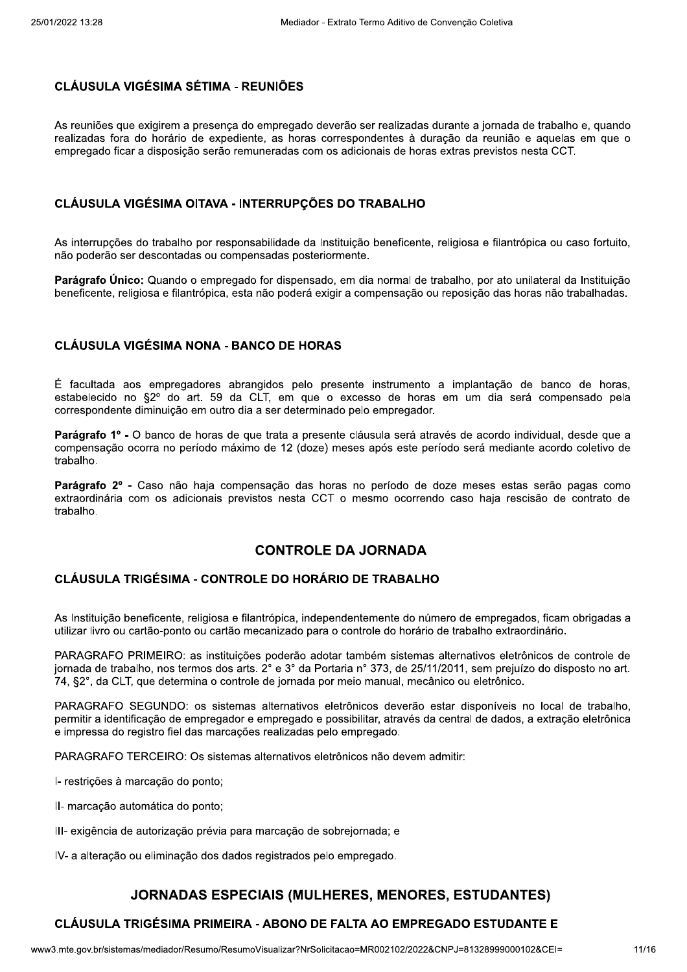### **CLÁUSULA VIGÉSIMA SÉTIMA - REUNIÕES**

As reuniões que exigirem a presenca do empregado deverão ser realizadas durante a jornada de trabalho e, quando realizadas fora do horário de expediente, as horas correspondentes à duração da reunião e aquelas em que o empregado ficar a disposição serão remuneradas com os adicionais de horas extras previstos nesta CCT.

### CLÁUSULA VIGÉSIMA OITAVA - INTERRUPÇÕES DO TRABALHO

As interrupções do trabalho por responsabilidade da Instituição beneficente, religiosa e filantrópica ou caso fortuito, não poderão ser descontadas ou compensadas posteriormente.

Parágrafo Único: Quando o empregado for dispensado, em dia normal de trabalho, por ato unilateral da Instituição beneficente, religiosa e filantrópica, esta não poderá exigir a compensação ou reposição das horas não trabalhadas.

### **CLÁUSULA VIGÉSIMA NONA - BANCO DE HORAS**

É facultada aos empregadores abrangidos pelo presente instrumento a implantação de banco de horas, estabelecido no §2º do art. 59 da CLT, em que o excesso de horas em um dia será compensado pela correspondente diminuição em outro dia a ser determinado pelo empregador.

Parágrafo 1º - O banco de horas de que trata a presente cláusula será através de acordo individual, desde que a compensação ocorra no período máximo de 12 (doze) meses após este período será mediante acordo coletivo de trabalho.

Parágrafo 2º - Caso não haja compensação das horas no período de doze meses estas serão pagas como extraordinária com os adicionais previstos nesta CCT o mesmo ocorrendo caso haja rescisão de contrato de trabalho.

### **CONTROLE DA JORNADA**

### CLÁUSULA TRIGÉSIMA - CONTROLE DO HORÁRIO DE TRABALHO

As Instituicão beneficente, religiosa e filantrópica, independentemente do número de empregados, ficam obrigadas a utilizar livro ou cartão-ponto ou cartão mecanizado para o controle do horário de trabalho extraordinário.

PARAGRAFO PRIMEIRO: as instituições poderão adotar também sistemas alternativos eletrônicos de controle de jornada de trabalho, nos termos dos arts. 2° e 3° da Portaria n° 373, de 25/11/2011, sem prejuízo do disposto no art. 74, §2°, da CLT, que determina o controle de jornada por meio manual, mecânico ou eletrônico.

PARAGRAFO SEGUNDO: os sistemas alternativos eletrônicos deverão estar disponíveis no local de trabalho. permitir a identificação de empregador e empregado e possibilitar, através da central de dados, a extração eletrônica e impressa do registro fiel das marcações realizadas pelo empregado.

PARAGRAFO TERCEIRO: Os sistemas alternativos eletrônicos não devem admitir:

I- restrições à marcação do ponto;

- II- marcação automática do ponto;
- III- exigência de autorização prévia para marcação de sobrejornada; e

IV- a alteração ou eliminação dos dados registrados pelo empregado.

### **JORNADAS ESPECIAIS (MULHERES, MENORES, ESTUDANTES)**

### CLÁUSULA TRIGÉSIMA PRIMEIRA - ABONO DE FALTA AO EMPREGADO ESTUDANTE E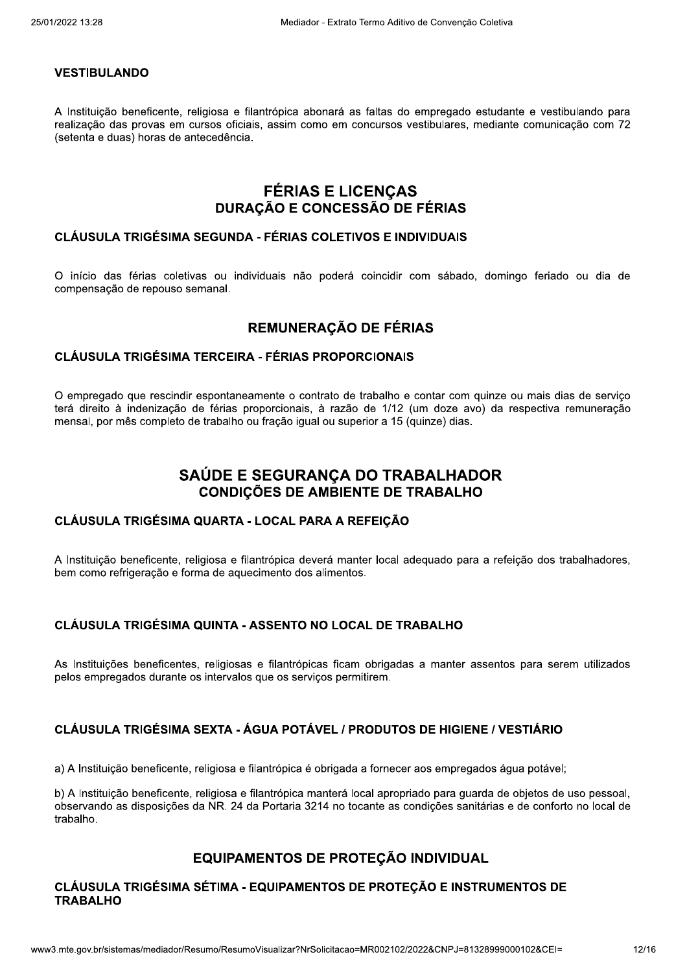#### **VESTIBULANDO**

A Instituição beneficente, religiosa e filantrópica abonará as faltas do empregado estudante e vestibulando para realização das provas em cursos oficiais, assim como em concursos vestibulares, mediante comunicação com 72 (setenta e duas) horas de antecedência.

## **FÉRIAS E LICENÇAS DURAÇÃO E CONCESSÃO DE FÉRIAS**

#### **CLÁUSULA TRIGÉSIMA SEGUNDA - FÉRIAS COLETIVOS E INDIVIDUAIS**

O início das férias coletivas ou individuais não poderá coincidir com sábado, domingo feriado ou dia de compensação de repouso semanal.

### REMUNERAÇÃO DE FÉRIAS

#### **CLÁUSULA TRIGÉSIMA TERCEIRA - FÉRIAS PROPORCIONAIS**

O empregado que rescindir espontaneamente o contrato de trabalho e contar com quinze ou mais dias de serviço terá direito à indenização de férias proporcionais, à razão de 1/12 (um doze avo) da respectiva remuneração mensal, por mês completo de trabalho ou fração igual ou superior a 15 (quinze) dias.

# SAÚDE E SEGURANCA DO TRABALHADOR **CONDIÇÕES DE AMBIENTE DE TRABALHO**

#### CLÁUSULA TRIGÉSIMA QUARTA - LOCAL PARA A REFEIÇÃO

A Instituição beneficente, religiosa e filantrópica deverá manter local adequado para a refeição dos trabalhadores, bem como refrigeração e forma de aquecimento dos alimentos.

### CLÁUSULA TRIGÉSIMA QUINTA - ASSENTO NO LOCAL DE TRABALHO

As Instituições beneficentes, religiosas e filantrópicas ficam obrigadas a manter assentos para serem utilizados pelos empregados durante os intervalos que os servicos permitirem.

### CLÁUSULA TRIGÉSIMA SEXTA - ÁGUA POTÁVEL / PRODUTOS DE HIGIENE / VESTIÁRIO

a) A Instituição beneficente, religiosa e filantrópica é obrigada a fornecer aos empregados água potável;

b) A Instituição beneficente, religiosa e filantrópica manterá local apropriado para guarda de objetos de uso pessoal, observando as disposições da NR. 24 da Portaria 3214 no tocante as condições sanitárias e de conforto no local de trabalho.

### EQUIPAMENTOS DE PROTEÇÃO INDIVIDUAL

#### CLÁUSULA TRIGÉSIMA SÉTIMA - EQUIPAMENTOS DE PROTEÇÃO E INSTRUMENTOS DE **TRABALHO**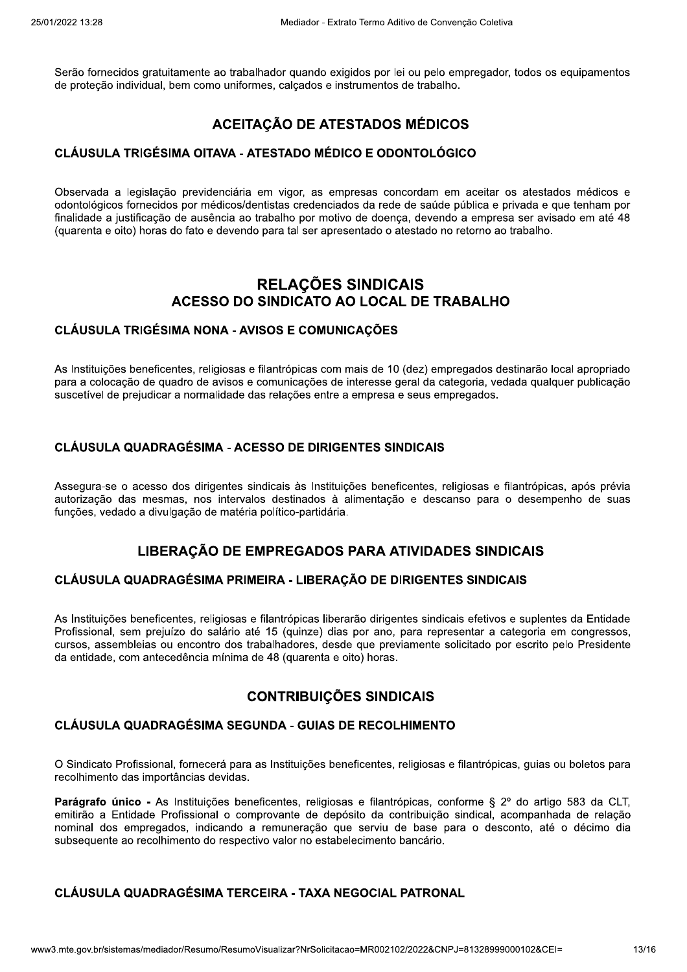Serão fornecidos gratuitamente ao trabalhador guando exigidos por lei ou pelo empregador, todos os equipamentos de proteção individual, bem como uniformes, calcados e instrumentos de trabalho.

# **ACEITAÇÃO DE ATESTADOS MÉDICOS**

### CLÁUSULA TRIGÉSIMA OITAVA - ATESTADO MÉDICO E ODONTOLÓGICO

Observada a legislação previdenciária em vigor, as empresas concordam em aceitar os atestados médicos e odontológicos fornecidos por médicos/dentistas credenciados da rede de saúde pública e privada e que tenham por finalidade a justificação de ausência ao trabalho por motivo de doença, devendo a empresa ser avisado em até 48 (quarenta e oito) horas do fato e devendo para tal ser apresentado o atestado no retorno ao trabalho.

## **RELAÇÕES SINDICAIS** ACESSO DO SINDICATO AO LOCAL DE TRABALHO

### **CLÁUSULA TRIGÉSIMA NONA - AVISOS E COMUNICAÇÕES**

As Instituições beneficentes, religiosas e filantrópicas com mais de 10 (dez) empregados destinarão local apropriado para a colocação de quadro de avisos e comunicações de interesse geral da categoria, vedada qualquer publicação suscetível de prejudicar a normalidade das relações entre a empresa e seus empregados.

### **CLÁUSULA QUADRAGÉSIMA - ACESSO DE DIRIGENTES SINDICAIS**

Assegura-se o acesso dos dirigentes sindicais às Instituições beneficentes, religiosas e filantrópicas, após prévia autorização das mesmas, nos intervalos destinados à alimentação e descanso para o desempenho de suas funções, vedado a divulgação de matéria político-partidária.

### LIBERAÇÃO DE EMPREGADOS PARA ATIVIDADES SINDICAIS

### CLÁUSULA QUADRAGÉSIMA PRIMEIRA - LIBERAÇÃO DE DIRIGENTES SINDICAIS

As Instituições beneficentes, religiosas e filantrópicas liberarão dirigentes sindicais efetivos e suplentes da Entidade Profissional, sem prejuízo do salário até 15 (quinze) dias por ano, para representar a categoria em congressos, cursos, assembleias ou encontro dos trabalhadores, desde que previamente solicitado por escrito pelo Presidente da entidade, com antecedência mínima de 48 (quarenta e oito) horas.

### **CONTRIBUICÕES SINDICAIS**

### CLÁUSULA QUADRAGÉSIMA SEGUNDA - GUIAS DE RECOLHIMENTO

O Sindicato Profissional, fornecerá para as Instituições beneficentes, religiosas e filantrópicas, guias ou boletos para recolhimento das importâncias devidas.

Parágrafo único - As Instituições beneficentes, religiosas e filantrópicas, conforme § 2º do artigo 583 da CLT, emitirão a Entidade Profissional o comprovante de depósito da contribuição sindical, acompanhada de relação nominal dos empregados, indicando a remuneração que serviu de base para o desconto, até o décimo dia subsequente ao recolhimento do respectivo valor no estabelecimento bancário.

### CLÁUSULA QUADRAGÉSIMA TERCEIRA - TAXA NEGOCIAL PATRONAL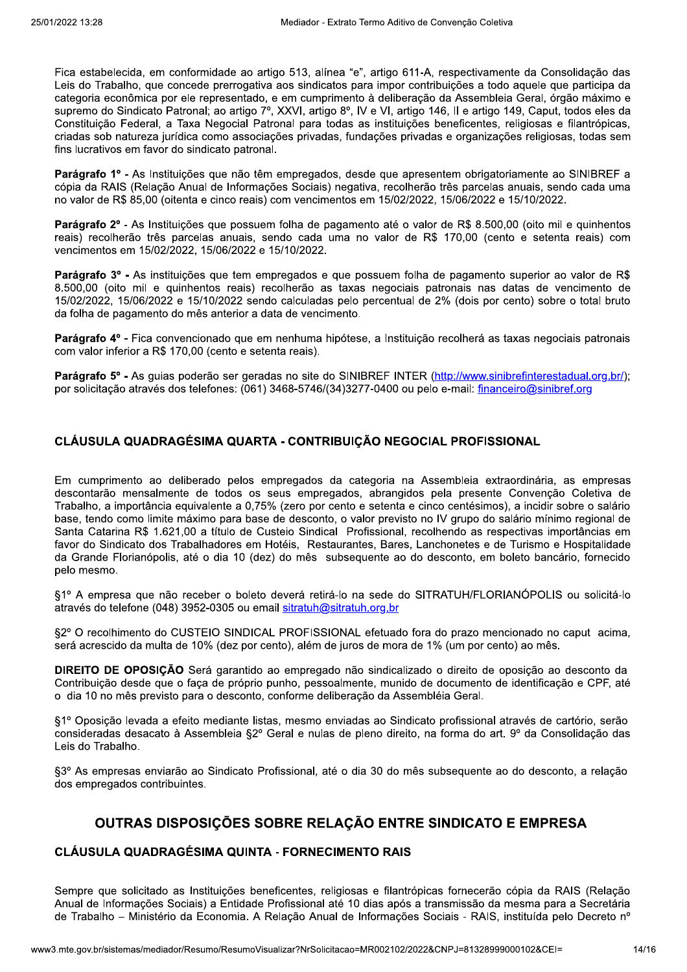Fica estabelecida, em conformidade ao artigo 513, alínea "e", artigo 611-A, respectivamente da Consolidação das Leis do Trabalho, que concede prerrogativa aos sindicatos para impor contribuições a todo aquele que participa da categoria econômica por ele representado, e em cumprimento à deliberação da Assembleia Geral, órgão máximo e supremo do Sindicato Patronal; ao artigo 7º, XXVI, artigo 8º, IV e VI, artigo 146, II e artigo 149, Caput, todos eles da Constituição Federal, a Taxa Negocial Patronal para todas as instituições beneficentes, religiosas e filantrópicas, criadas sob natureza jurídica como associações privadas, fundações privadas e organizações religiosas, todas sem fins lucrativos em favor do sindicato patronal.

Parágrafo 1º - As Instituições que não têm empregados, desde que apresentem obrigatoriamente ao SINIBREF a cópia da RAIS (Relação Anual de Informações Sociais) negativa, recolherão três parcelas anuais, sendo cada uma no valor de R\$ 85,00 (oitenta e cinco reais) com vencimentos em 15/02/2022, 15/06/2022 e 15/10/2022.

Parágrafo 2º - As Instituições que possuem folha de pagamento até o valor de R\$ 8.500,00 (oito mil e quinhentos reais) recolherão três parcelas anuais, sendo cada uma no valor de R\$ 170.00 (cento e setenta reais) com vencimentos em 15/02/2022, 15/06/2022 e 15/10/2022.

Parágrafo 3º - As instituições que tem empregados e que possuem folha de pagamento superior ao valor de R\$ 8.500,00 (oito mil e quinhentos reais) recolherão as taxas negociais patronais nas datas de vencimento de 15/02/2022, 15/06/2022 e 15/10/2022 sendo calculadas pelo percentual de 2% (dois por cento) sobre o total bruto da folha de pagamento do mês anterior a data de vencimento.

Parágrafo 4º - Fica convencionado que em nenhuma hipótese, a Instituicão recolherá as taxas negociais patronais com valor inferior a R\$ 170,00 (cento e setenta reais).

Parágrafo 5° - As quias poderão ser geradas no site do SINIBREF INTER (http://www.sinibrefinterestadual.org.br/): por solicitação através dos telefones: (061) 3468-5746/(34)3277-0400 ou pelo e-mail: financeiro@sinibref.org

### CLÁUSULA QUADRAGÉSIMA QUARTA - CONTRIBUIÇÃO NEGOCIAL PROFISSIONAL

Em cumprimento ao deliberado pelos empregados da categoria na Assembleia extraordinária, as empresas descontarão mensalmente de todos os seus empregados, abrangidos pela presente Convenção Coletiva de Trabalho, a importância equivalente a 0,75% (zero por cento e setenta e cinco centésimos), a incidir sobre o salário base, tendo como limite máximo para base de desconto, o valor previsto no IV grupo do salário mínimo regional de Santa Catarina R\$ 1.621.00 a título de Custeio Sindical Profissional, recolhendo as respectivas importâncias em favor do Sindicato dos Trabalhadores em Hotéis. Restaurantes, Bares, Lanchonetes e de Turismo e Hospitalidade da Grande Florianópolis, até o dia 10 (dez) do mês subsequente ao do desconto, em boleto bancário, fornecido pelo mesmo.

§1º A empresa que não receber o boleto deverá retirá-lo na sede do SITRATUH/FLORIANÓPOLIS ou solicitá-lo através do telefone (048) 3952-0305 ou email sitratuh@sitratuh.org.br

\$2° O recolhimento do CUSTEIO SINDICAL PROFISSIONAL efetuado fora do prazo mencionado no caput acima. será acrescido da multa de 10% (dez por cento), além de juros de mora de 1% (um por cento) ao mês.

DIREITO DE OPOSIÇÃO Será garantido ao empregado não sindicalizado o direito de oposição ao desconto da Contribuição desde que o faça de próprio punho, pessoalmente, munido de documento de identificação e CPF, até o dia 10 no mês previsto para o desconto, conforme deliberação da Assembléia Geral.

§1º Oposição levada a efeito mediante listas, mesmo enviadas ao Sindicato profissional através de cartório, serão consideradas desacato à Assembleia §2º Geral e nulas de pleno direito, na forma do art. 9º da Consolidação das Leis do Trabalho.

§3º As empresas enviarão ao Sindicato Profissional, até o dia 30 do mês subsequente ao do desconto, a relação dos empregados contribuintes.

## OUTRAS DISPOSIÇÕES SOBRE RELAÇÃO ENTRE SINDICATO E EMPRESA

### **CLÁUSULA QUADRAGÉSIMA QUINTA - FORNECIMENTO RAIS**

Sempre que solicitado as Instituições beneficentes, religiosas e filantrópicas fornecerão cópia da RAIS (Relação Anual de Informações Sociais) a Entidade Profissional até 10 dias após a transmissão da mesma para a Secretária de Trabalho - Ministério da Economia. A Relação Anual de Informações Sociais - RAIS, instituída pelo Decreto nº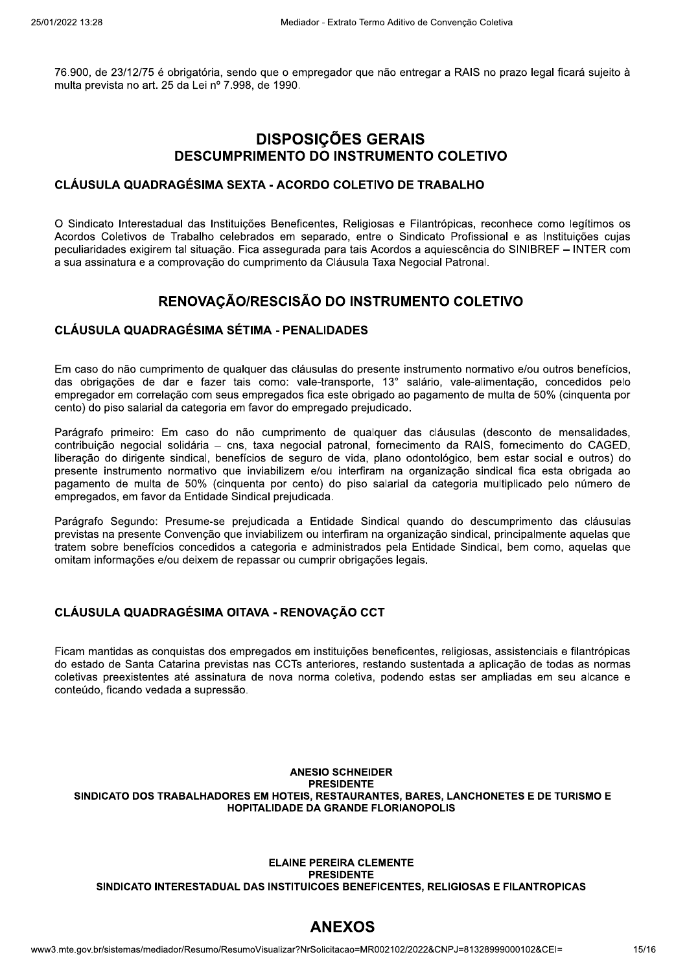76.900, de 23/12/75 é obrigatória, sendo que o empregador que não entregar a RAIS no prazo legal ficará sujeito à multa prevista no art. 25 da Lei nº 7.998, de 1990.

# **DISPOSIÇÕES GERAIS DESCUMPRIMENTO DO INSTRUMENTO COLETIVO**

#### **CLÁUSULA QUADRAGÉSIMA SEXTA - ACORDO COLETIVO DE TRABALHO**

O Sindicato Interestadual das Instituições Beneficentes, Religiosas e Filantrópicas, reconhece como legítimos os Acordos Coletivos de Trabalho celebrados em separado, entre o Sindicato Profissional e as Instituições cujas peculiaridades exigirem tal situação. Fica assegurada para tais Acordos a aguiescência do SINIBREF - INTER com a sua assinatura e a comprovação do cumprimento da Cláusula Taxa Negocial Patronal.

## RENOVAÇÃO/RESCISÃO DO INSTRUMENTO COLETIVO

#### **CLÁUSULA QUADRAGÉSIMA SÉTIMA - PENALIDADES**

Em caso do não cumprimento de qualquer das cláusulas do presente instrumento normativo e/ou outros benefícios, das obrigações de dar e fazer tais como: vale-transporte, 13° salário, vale-alimentação, concedidos pelo empregador em correlação com seus empregados fica este obrigado ao pagamento de multa de 50% (cinquenta por cento) do piso salarial da categoria em favor do empregado prejudicado.

Parágrafo primeiro: Em caso do não cumprimento de qualquer das cláusulas (desconto de mensalidades, contribuição negocial solidária - cns, taxa negocial patronal, fornecimento da RAIS, fornecimento do CAGED, liberação do dirigente sindical, benefícios de seguro de vida, plano odontológico, bem estar social e outros) do presente instrumento normativo que inviabilizem e/ou interfiram na organização sindical fica esta obrigada ao pagamento de multa de 50% (cinquenta por cento) do piso salarial da categoria multiplicado pelo número de empregados, em favor da Entidade Sindical prejudicada.

Parágrafo Segundo: Presume-se prejudicada a Entidade Sindical quando do descumprimento das cláusulas previstas na presente Convenção que inviabilizem ou interfiram na organização sindical, principalmente aquelas que tratem sobre benefícios concedidos a categoria e administrados pela Entidade Sindical, bem como, aquelas que omitam informações e/ou deixem de repassar ou cumprir obrigações legais.

### CLÁUSULA QUADRAGÉSIMA OITAVA - RENOVAÇÃO CCT

Ficam mantidas as conquistas dos empregados em instituições beneficentes, religiosas, assistenciais e filantrópicas do estado de Santa Catarina previstas nas CCTs anteriores, restando sustentada a aplicação de todas as normas coletivas preexistentes até assinatura de nova norma coletiva, podendo estas ser ampliadas em seu alcance e conteúdo, ficando vedada a supressão.

#### **ANESIO SCHNEIDER PRESIDENTE** SINDICATO DOS TRABALHADORES EM HOTEIS, RESTAURANTES, BARES, LANCHONETES E DE TURISMO E **HOPITALIDADE DA GRANDE FLORIANOPOLIS**

#### **ELAINE PEREIRA CLEMENTE PRESIDENTE** SINDICATO INTERESTADUAL DAS INSTITUICOES BENEFICENTES, RELIGIOSAS E FILANTROPICAS

# **ANEXOS**